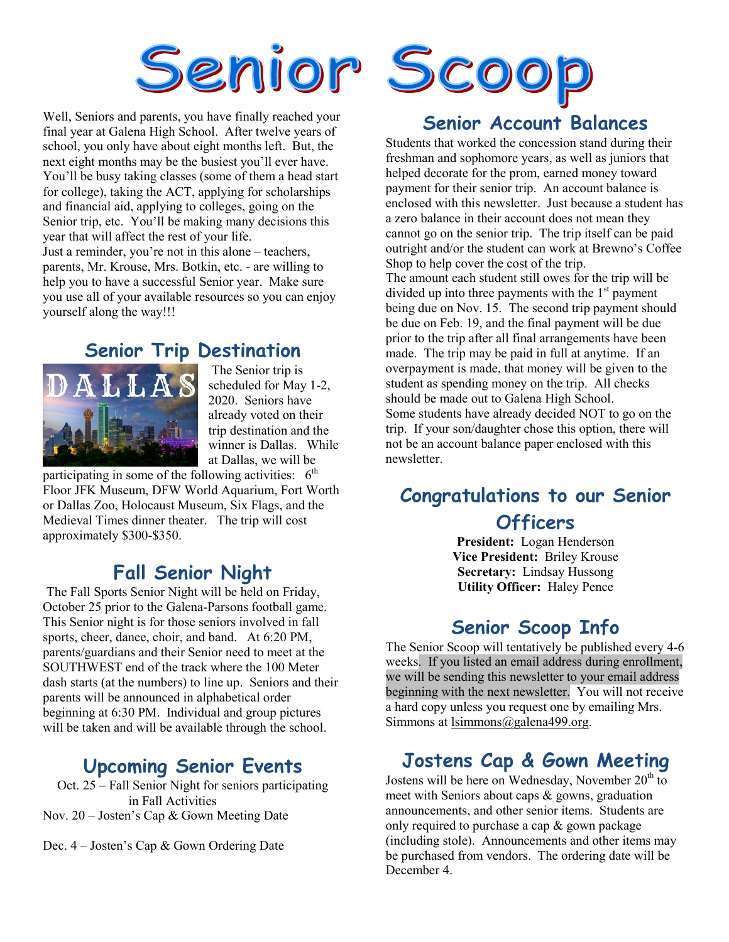# Senior Scoop

Well, Seniors and parents, you have finally reached your final year at Galena High School. After twelve years of school, you only have about eight months left. But, the next eight months may be the busiest you'll ever have. You'll be busy taking classes (some of them a head start for college), taking the ACT, applying for scholarships and financial aid, applying to colleges, going on the Senior trip, etc. You'll be making many decisions this year that will affect the rest of your life. Just a reminder, you're not in this alone – teachers, parents, Mr. Krouse, Mrs. Botkin, etc. - are willing to

help you to have a successful Senior year. Make sure you use all of your available resources so you can enjoy yourself along the way!!!

## **Senior Trip Destination**



The Senior trip is scheduled for May 1-2, 2020. Seniors have already voted on their trip destination and the winner is Dallas. While at Dallas, we will be

participating in some of the following activities:  $6<sup>th</sup>$ Floor JFK Museum, DFW World Aquarium, Fort Worth or Dallas Zoo, Holocaust Museum, Six Flags, and the Medieval Times dinner theater. The trip will cost approximately \$300-\$350.

## **Fall Senior Night**

The Fall Sports Senior Night will be held on Friday, October 25 prior to the Galena-Parsons football game. This Senior night is for those seniors involved in fall sports, cheer, dance, choir, and band. At 6:20 PM, parents/guardians and their Senior need to meet at the SOUTHWEST end of the track where the 100 Meter dash starts (at the numbers) to line up. Seniors and their parents will be announced in alphabetical order beginning at 6:30 PM. Individual and group pictures will be taken and will be available through the school.

# **Upcoming Senior Events**

Oct. 25 – Fall Senior Night for seniors participating in Fall Activities Nov. 20 – Josten's Cap & Gown Meeting Date

Dec. 4 – Josten's Cap & Gown Ordering Date



# **Senior Account Balances**

Students that worked the concession stand during their freshman and sophomore years, as well as juniors that helped decorate for the prom, earned money toward payment for their senior trip. An account balance is enclosed with this newsletter. Just because a student has a zero balance in their account does not mean they cannot go on the senior trip. The trip itself can be paid outright and/or the student can work at Brewno's Coffee Shop to help cover the cost of the trip. The amount each student still owes for the trip will be divided up into three payments with the  $1<sup>st</sup>$  payment being due on Nov. 15. The second trip payment should be due on Feb. 19, and the final payment will be due prior to the trip after all final arrangements have been made. The trip may be paid in full at anytime. If an overpayment is made, that money will be given to the student as spending money on the trip. All checks should be made out to Galena High School. Some students have already decided NOT to go on the trip. If your son/daughter chose this option, there will not be an account balance paper enclosed with this

# **Congratulations to our Senior Officers**

newsletter.

**President:** Logan Henderson **Vice President:** Briley Krouse **Secretary:** Lindsay Hussong **Utility Officer:** Haley Pence

# **Senior Scoop Info**

The Senior Scoop will tentatively be published every 4-6 weeks. If you listed an email address during enrollment, we will be sending this newsletter to your email address beginning with the next newsletter. You will not receive a hard copy unless you request one by emailing Mrs. Simmons at [lsimmons@galena499.org.](mailto:lsimmons@galena499.org)

## **Jostens Cap & Gown Meeting**

Jostens will be here on Wednesday, November  $20<sup>th</sup>$  to meet with Seniors about caps & gowns, graduation announcements, and other senior items. Students are only required to purchase a cap & gown package (including stole). Announcements and other items may be purchased from vendors. The ordering date will be December 4.